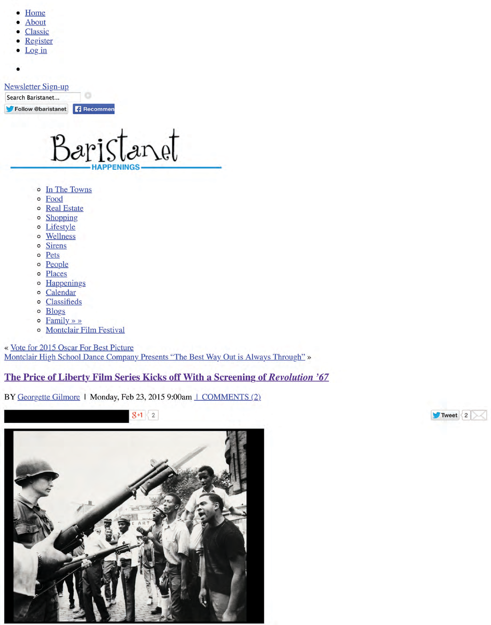- Home
- **About**
- **Classic**
- Register
- $\bullet$  Log<sub>in</sub>

 $\bullet$ 

### **Newsletter Sign-up**

Search Baristanet...

Follow @baristanet **Recommen** 

Baristanet PENINGS

- o In The Towns
- o Food
- o Real Estate
- o Shopping
- o Lifestyle
- o Wellness
- **Sirens**  $\circ$
- Pets  $\circ$
- o People
- o Places
- o Happenings
- o Calendar
- o Classifieds
- o Blogs
- $\circ$  Family » »
- o Montclair Film Festival

« Vote for 2015 Oscar For Best Picture Montclair High School Dance Company Presents "The Best Way Out is Always Through" »

The Price of Liberty Film Series Kicks off With a Screening of Revolution '67

BY Georgette Gilmore | Monday, Feb 23, 2015 9:00am | COMMENTS (2)



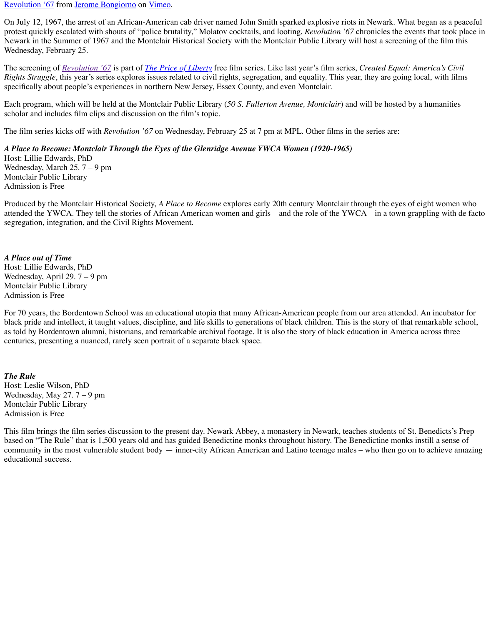[Revolution '67](https://vimeo.com/81735536) from <u>Jerome Bongiorno</u> on <u>Vimeo</u>.

On July 12, 1967, the arrest of an African-American cab driver named John Smith sparked explosive riots in Newark. What began as a peaceful protest quickly escalated with shouts of "police brutality," Molatov cocktails, and looting. *Revolution '67* chronicles the events that took place in Newark in the Summer of 1967 and the Montclair Historical Society with the Montclair Public Library will host a screening of the film this Wednesday, February 25.

The screening of *[Revolution '67](http://www.bongiornoproductions.com/REVOLUTION_67/REVOLUTION_67.html)* is part of *[The Price of Liberty](http://montclairhistorical.org/events/the-price-of-liberty-screening-of-revolution-67/)* free film series. Like last year's film series, *Created Equal: America's Civil Rights Struggle*, this year's series explores issues related to civil rights, segregation, and equality. This year, they are going local, with films specifically about people's experiences in northern New Jersey, Essex County, and even Montclair.

Each program, which will be held at the Montclair Public Library (*50 S. Fullerton Avenue, Montclair*) and will be hosted by a humanities scholar and includes film clips and discussion on the film's topic.

The film series kicks off with *Revolution '67* on Wednesday, February 25 at 7 pm at MPL. Other films in the series are:

## *A Place to Become: Montclair Through the Eyes of the Glenridge Avenue YWCA Women (1920-1965)*

Host: Lillie Edwards, PhD Wednesday, March 25. 7 – 9 pm Montclair Public Library Admission is Free

Produced by the Montclair Historical Society, *A Place to Become* explores early 20th century Montclair through the eyes of eight women who attended the YWCA. They tell the stories of African American women and girls – and the role of the YWCA – in a town grappling with de facto segregation, integration, and the Civil Rights Movement.

### *A Place out of Time*

Host: Lillie Edwards, PhD Wednesday, April 29. 7 – 9 pm Montclair Public Library Admission is Free

For 70 years, the Bordentown School was an educational utopia that many African-American people from our area attended. An incubator for black pride and intellect, it taught values, discipline, and life skills to generations of black children. This is the story of that remarkable school, as told by Bordentown alumni, historians, and remarkable archival footage. It is also the story of black education in America across three centuries, presenting a nuanced, rarely seen portrait of a separate black space.

## *The Rule*

Host: Leslie Wilson, PhD Wednesday, May 27. 7 – 9 pm Montclair Public Library Admission is Free

This film brings the film series discussion to the present day. Newark Abbey, a monastery in Newark, teaches students of St. Benedicts's Prep based on "The Rule" that is 1,500 years old and has guided Benedictine monks throughout history. The Benedictine monks instill a sense of community in the most vulnerable student body — inner-city African American and Latino teenage males – who then go on to achieve amazing educational success.